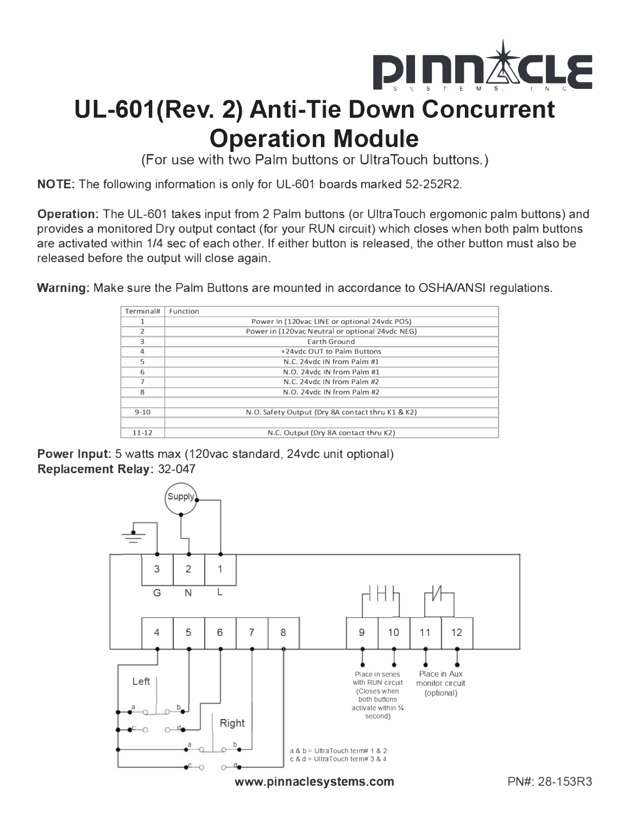

# **UL-601(Rev. 2) Anti-Tie Down Concurrent Operation Module**

(For use with two Palm buttons or Ultra Touch buttons.)

NOTE: The following information is only for UL-601 boards marked 52-252R2.

Operation: The UL-601 takes input from 2 Palm buttons (or UltraTouch ergomonic palm buttons) and provides a monitored Dry output contact (for your RUN circuit) which closes when both palm buttons are activated within 1/4 sec of each other. If either button is released, the other button must also be released before the output will close again.

Warning: Make sure the Palm Buttons are mounted in accordance to OSHA/ANSI regulations.

| Terminal#     | Function                                         |  |
|---------------|--------------------------------------------------|--|
|               | Power In (120vac LINE or optional 24vdc POS)     |  |
| $\mathcal{P}$ | Power in (120vac Neutral or optional 24vdc NEG)  |  |
| 3             | Earth Ground                                     |  |
| 4             | +24vdc OUT to Palm Buttons                       |  |
| 5             | N.C. 24 vdc IN from Palm #1                      |  |
| 6             | N.O. 24 vdc IN from Palm #1                      |  |
| 7             | N.C. 24 vdc IN from Palm #2                      |  |
| $\mathbf{8}$  | N.O. 24 vdc IN from Palm #2                      |  |
| $9 - 10$      | N.O. Safety Output (Dry 8A contact thru K1 & K2) |  |
| $11 - 12$     | N.C. Output (Dry 8A contact thru K2)             |  |

Power Input: 5 watts max (120vac standard, 24vdc unit optional) Replacement Relay: 32-047



www.pinnaclesystems.com